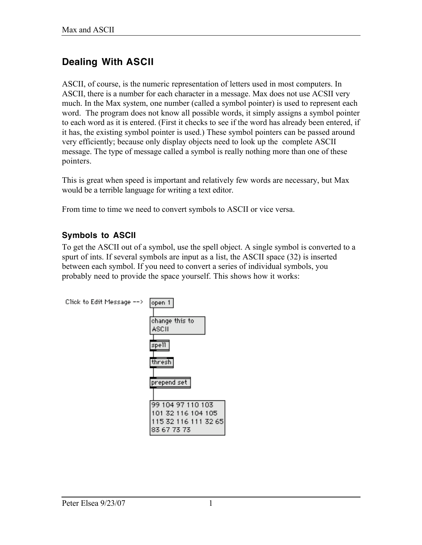# **Dealing With ASCII**

ASCII, of course, is the numeric representation of letters used in most computers. In ASCII, there is a number for each character in a message. Max does not use ACSII very much. In the Max system, one number (called a symbol pointer) is used to represent each word. The program does not know all possible words, it simply assigns a symbol pointer to each word as it is entered. (First it checks to see if the word has already been entered, if it has, the existing symbol pointer is used.) These symbol pointers can be passed around very efficiently; because only display objects need to look up the complete ASCII message. The type of message called a symbol is really nothing more than one of these pointers.

This is great when speed is important and relatively few words are necessary, but Max would be a terrible language for writing a text editor.

From time to time we need to convert symbols to ASCII or vice versa.

### **Symbols to ASCII**

To get the ASCII out of a symbol, use the spell object. A single symbol is converted to a spurt of ints. If several symbols are input as a list, the ASCII space (32) is inserted between each symbol. If you need to convert a series of individual symbols, you probably need to provide the space yourself. This shows how it works:

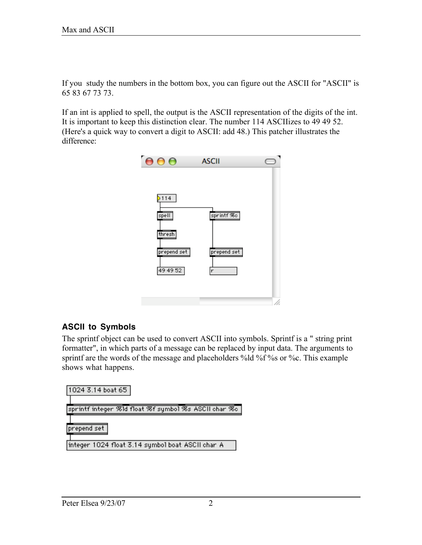If you study the numbers in the bottom box, you can figure out the ASCII for "ASCII" is 65 83 67 73 73.

If an int is applied to spell, the output is the ASCII representation of the digits of the int. It is important to keep this distinction clear. The number 114 ASCIIizes to 49 49 52. (Here's a quick way to convert a digit to ASCII: add 48.) This patcher illustrates the difference:



### **ASCII to Symbols**

The sprintf object can be used to convert ASCII into symbols. Sprintf is a " string print formatter", in which parts of a message can be replaced by input data. The arguments to sprintf are the words of the message and placeholders %ld %f %s or %c. This example shows what happens.

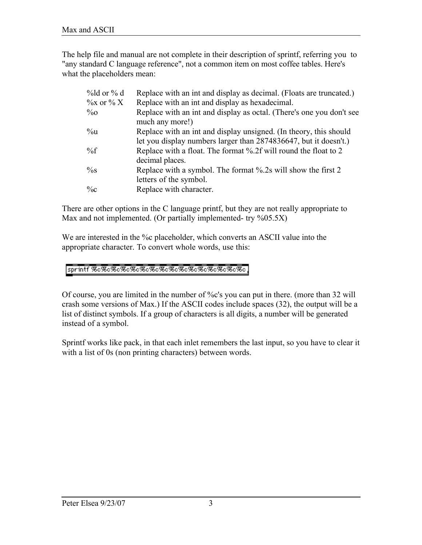The help file and manual are not complete in their description of sprintf, referring you to "any standard C language reference", not a common item on most coffee tables. Here's what the placeholders mean:

| $\%$ ld or $\%$ d | Replace with an int and display as decimal. (Floats are truncated.)                                                                   |  |  |
|-------------------|---------------------------------------------------------------------------------------------------------------------------------------|--|--|
| $\%$ x or $\%$ X  | Replace with an int and display as hexadecimal.                                                                                       |  |  |
| $\%o$             | Replace with an int and display as octal. (There's one you don't see<br>much any more!)                                               |  |  |
| $\%u$             | Replace with an int and display unsigned. (In theory, this should<br>let you display numbers larger than 2874836647, but it doesn't.) |  |  |
| $\%f$             | Replace with a float. The format %.2f will round the float to 2<br>decimal places.                                                    |  |  |
| $\%$ s            | Replace with a symbol. The format %.2s will show the first 2<br>letters of the symbol.                                                |  |  |
| $\%c$             | Replace with character.                                                                                                               |  |  |

There are other options in the C language printf, but they are not really appropriate to Max and not implemented. (Or partially implemented- try %05.5X)

We are interested in the %c placeholder, which converts an ASCII value into the appropriate character. To convert whole words, use this:

#### sprintf %&%&%&%&%&%&%&%&%&%&%&%&%&%

Of course, you are limited in the number of %c's you can put in there. (more than 32 will crash some versions of Max.) If the ASCII codes include spaces (32), the output will be a list of distinct symbols. If a group of characters is all digits, a number will be generated instead of a symbol.

Sprintf works like pack, in that each inlet remembers the last input, so you have to clear it with a list of 0s (non printing characters) between words.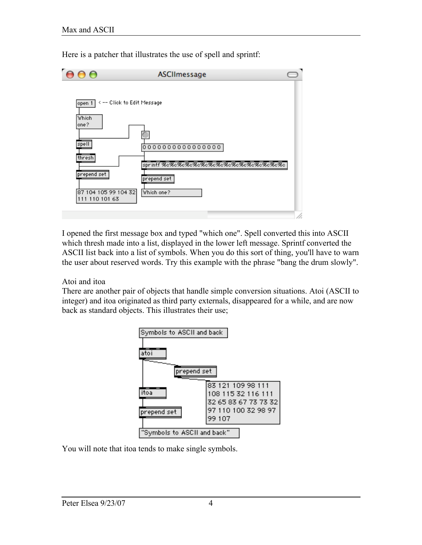

Here is a patcher that illustrates the use of spell and sprintf:

I opened the first message box and typed "which one". Spell converted this into ASCII which thresh made into a list, displayed in the lower left message. Sprintf converted the ASCII list back into a list of symbols. When you do this sort of thing, you'll have to warn the user about reserved words. Try this example with the phrase "bang the drum slowly".

#### Atoi and itoa

There are another pair of objects that handle simple conversion situations. Atoi (ASCII to integer) and itoa originated as third party externals, disappeared for a while, and are now back as standard objects. This illustrates their use;



You will note that itoa tends to make single symbols.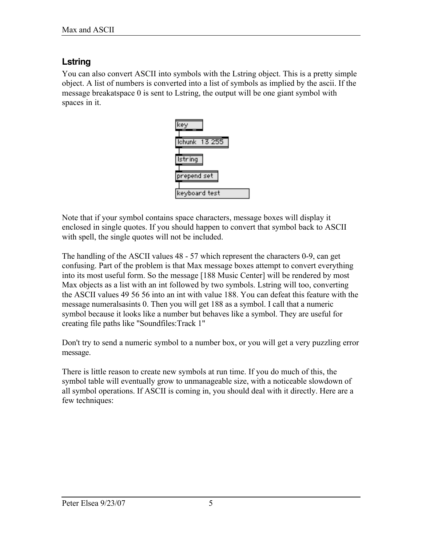## **Lstring**

You can also convert ASCII into symbols with the Lstring object. This is a pretty simple object. A list of numbers is converted into a list of symbols as implied by the ascii. If the message breakatspace 0 is sent to Lstring, the output will be one giant symbol with spaces in it.



Note that if your symbol contains space characters, message boxes will display it enclosed in single quotes. If you should happen to convert that symbol back to ASCII with spell, the single quotes will not be included.

The handling of the ASCII values 48 - 57 which represent the characters 0-9, can get confusing. Part of the problem is that Max message boxes attempt to convert everything into its most useful form. So the message [188 Music Center] will be rendered by most Max objects as a list with an int followed by two symbols. Lstring will too, converting the ASCII values 49 56 56 into an int with value 188. You can defeat this feature with the message numeralsasints 0. Then you will get 188 as a symbol. I call that a numeric symbol because it looks like a number but behaves like a symbol. They are useful for creating file paths like "Soundfiles:Track 1"

Don't try to send a numeric symbol to a number box, or you will get a very puzzling error message.

There is little reason to create new symbols at run time. If you do much of this, the symbol table will eventually grow to unmanageable size, with a noticeable slowdown of all symbol operations. If ASCII is coming in, you should deal with it directly. Here are a few techniques: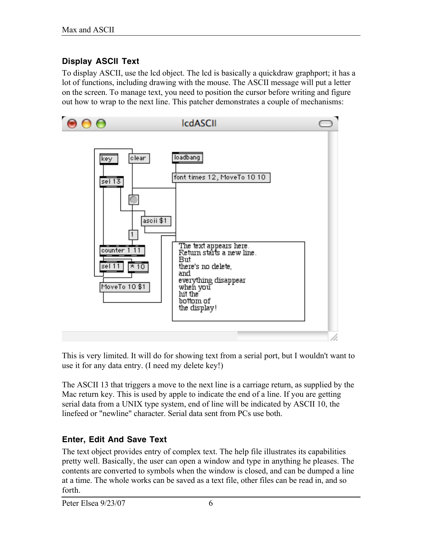### **Display ASCII Text**

To display ASCII, use the lcd object. The lcd is basically a quickdraw graphport; it has a lot of functions, including drawing with the mouse. The ASCII message will put a letter on the screen. To manage text, you need to position the cursor before writing and figure out how to wrap to the next line. This patcher demonstrates a couple of mechanisms:



This is very limited. It will do for showing text from a serial port, but I wouldn't want to use it for any data entry. (I need my delete key!)

The ASCII 13 that triggers a move to the next line is a carriage return, as supplied by the Mac return key. This is used by apple to indicate the end of a line. If you are getting serial data from a UNIX type system, end of line will be indicated by ASCII 10, the linefeed or "newline" character. Serial data sent from PCs use both.

### **Enter, Edit And Save Text**

The text object provides entry of complex text. The help file illustrates its capabilities pretty well. Basically, the user can open a window and type in anything he pleases. The contents are converted to symbols when the window is closed, and can be dumped a line at a time. The whole works can be saved as a text file, other files can be read in, and so forth.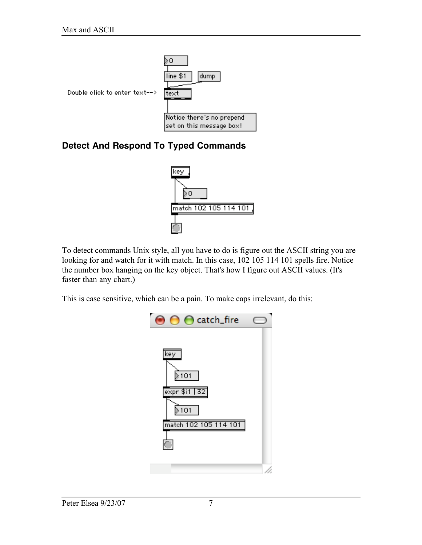

# **Detect And Respond To Typed Commands**



To detect commands Unix style, all you have to do is figure out the ASCII string you are looking for and watch for it with match. In this case, 102 105 114 101 spells fire. Notice the number box hanging on the key object. That's how I figure out ASCII values. (It's faster than any chart.)

This is case sensitive, which can be a pain. To make caps irrelevant, do this:

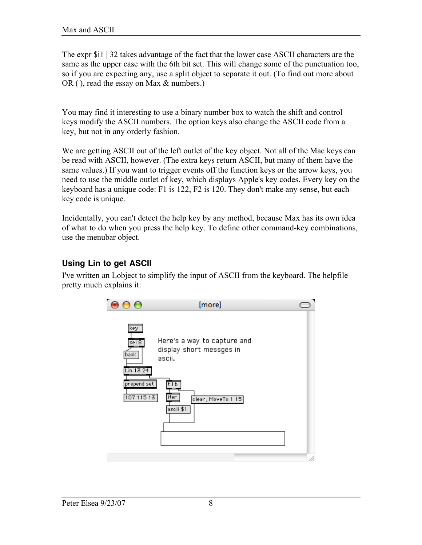The expr \$i1 | 32 takes advantage of the fact that the lower case ASCII characters are the same as the upper case with the 6th bit set. This will change some of the punctuation too, so if you are expecting any, use a split object to separate it out. (To find out more about OR (|), read the essay on Max & numbers.)

You may find it interesting to use a binary number box to watch the shift and control keys modify the ASCII numbers. The option keys also change the ASCII code from a key, but not in any orderly fashion.

We are getting ASCII out of the left outlet of the key object. Not all of the Mac keys can be read with ASCII, however. (The extra keys return ASCII, but many of them have the same values.) If you want to trigger events off the function keys or the arrow keys, you need to use the middle outlet of key, which displays Apple's key codes. Every key on the keyboard has a unique code: F1 is 122, F2 is 120. They don't make any sense, but each key code is unique.

Incidentally, you can't detect the help key by any method, because Max has its own idea of what to do when you press the help key. To define other command-key combinations, use the menubar object.

### **Using Lin to get ASCII**

I've written an Lobject to simplify the input of ASCII from the keyboard. The helpfile pretty much explains it: